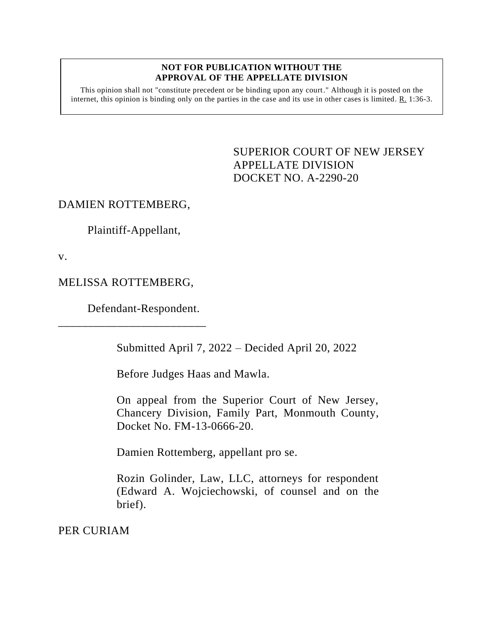## **NOT FOR PUBLICATION WITHOUT THE APPROVAL OF THE APPELLATE DIVISION**

This opinion shall not "constitute precedent or be binding upon any court." Although it is posted on the internet, this opinion is binding only on the parties in the case and its use in other cases is limited. R. 1:36-3.

> <span id="page-0-0"></span>SUPERIOR COURT OF NEW JERSEY APPELLATE DIVISION DOCKET NO. A-2290-20

## DAMIEN ROTTEMBERG,

Plaintiff-Appellant,

v.

## MELISSA ROTTEMBERG,

\_\_\_\_\_\_\_\_\_\_\_\_\_\_\_\_\_\_\_\_\_\_\_\_\_

Defendant-Respondent.

Submitted April 7, 2022 – Decided April 20, 2022

Before Judges Haas and Mawla.

On appeal from the Superior Court of New Jersey, Chancery Division, Family Part, Monmouth County, Docket No. FM-13-0666-20.

Damien Rottemberg, appellant pro se.

Rozin Golinder, Law, LLC, attorneys for respondent (Edward A. Wojciechowski, of counsel and on the brief).

PER CURIAM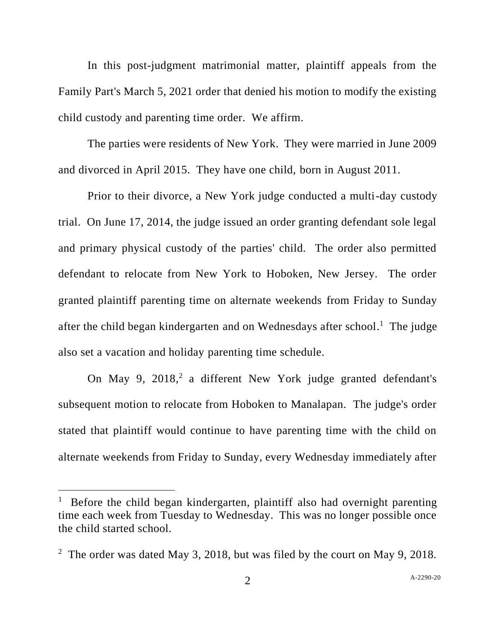In this post-judgment matrimonial matter, plaintiff appeals from the Family Part's March 5, 2021 order that denied his motion to modify the existing child custody and parenting time order. We affirm.

The parties were residents of New York. They were married in June 2009 and divorced in April 2015. They have one child, born in August 2011.

Prior to their divorce, a New York judge conducted a multi-day custody trial. On June 17, 2014, the judge issued an order granting defendant sole legal and primary physical custody of the parties' child. The order also permitted defendant to relocate from New York to Hoboken, New Jersey. The order granted plaintiff parenting time on alternate weekends from Friday to Sunday after the child began kindergarten and on Wednesdays after school.<sup>1</sup> The judge also set a vacation and holiday parenting time schedule.

On May 9, 2018,<sup>2</sup> a different New York judge granted defendant's subsequent motion to relocate from Hoboken to Manalapan. The judge's order stated that plaintiff would continue to have parenting time with the child on alternate weekends from Friday to Sunday, every Wednesday immediately after

<sup>&</sup>lt;sup>1</sup> Before the child began kindergarten, plaintiff also had overnight parenting time each week from Tuesday to Wednesday. This was no longer possible once the child started school.

<sup>&</sup>lt;sup>2</sup> The order was dated May 3, 2018, but was filed by the court on May 9, 2018.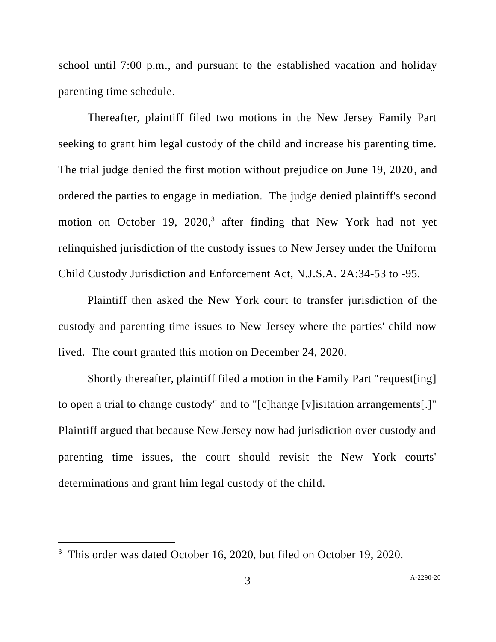school until 7:00 p.m., and pursuant to the established vacation and holiday parenting time schedule.

Thereafter, plaintiff filed two motions in the New Jersey Family Part seeking to grant him legal custody of the child and increase his parenting time. The trial judge denied the first motion without prejudice on June 19, 2020, and ordered the parties to engage in mediation. The judge denied plaintiff's second motion on October 19, 2020, 3 after finding that New York had not yet relinquished jurisdiction of the custody issues to New Jersey under the Uniform Child Custody Jurisdiction and Enforcement Act, N.J.S.A. 2A:34-53 to -95.

Plaintiff then asked the New York court to transfer jurisdiction of the custody and parenting time issues to New Jersey where the parties' child now lived. The court granted this motion on December 24, 2020.

Shortly thereafter, plaintiff filed a motion in the Family Part "request[ing] to open a trial to change custody" and to "[c]hange [v]isitation arrangements[.]" Plaintiff argued that because New Jersey now had jurisdiction over custody and parenting time issues, the court should revisit the New York courts' determinations and grant him legal custody of the child.

<sup>&</sup>lt;sup>3</sup> This order was dated October 16, 2020, but filed on October 19, 2020.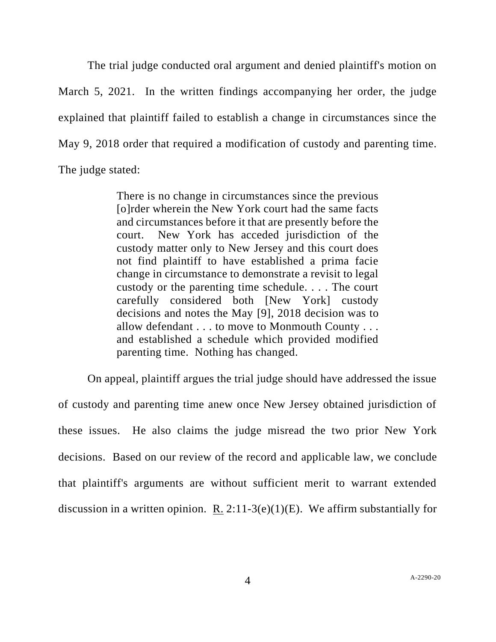The trial judge conducted oral argument and denied plaintiff's motion on March 5, 2021. In the written findings accompanying her order, the judge explained that plaintiff failed to establish a change in circumstances since the May 9, 2018 order that required a modification of custody and parenting time. The judge stated:

> There is no change in circumstances since the previous [o]rder wherein the New York court had the same facts and circumstances before it that are presently before the court. New York has acceded jurisdiction of the custody matter only to New Jersey and this court does not find plaintiff to have established a prima facie change in circumstance to demonstrate a revisit to legal custody or the parenting time schedule. . . . The court carefully considered both [New York] custody decisions and notes the May [9], 2018 decision was to allow defendant . . . to move to Monmouth County . . . and established a schedule which provided modified parenting time. Nothing has changed.

On appeal, plaintiff argues the trial judge should have addressed the issue of custody and parenting time anew once New Jersey obtained jurisdiction of these issues. He also claims the judge misread the two prior New York decisions. Based on our review of the record and applicable law, we conclude that plaintiff's arguments are without sufficient merit to warrant extended discussion in a written opinion. R. 2:11-3(e)(1)(E). We affirm substantially for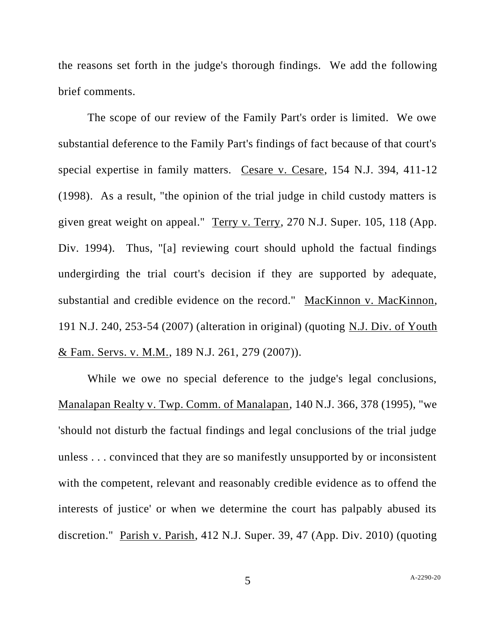the reasons set forth in the judge's thorough findings. We add the following brief comments.

The scope of our review of the Family Part's order is limited. We owe substantial deference to the Family Part's findings of fact because of that court's special expertise in family matters. Cesare v. Cesare, 154 N.J. 394, 411-12 (1998). As a result, "the opinion of the trial judge in child custody matters is given great weight on appeal." Terry v. Terry, 270 N.J. Super. 105, 118 (App. Div. 1994). Thus, "[a] reviewing court should uphold the factual findings undergirding the trial court's decision if they are supported by adequate, substantial and credible evidence on the record." MacKinnon v. MacKinnon, 191 N.J. 240, 253-54 (2007) (alteration in original) (quoting N.J. Div. of Youth & Fam. Servs. v. M.M., 189 N.J. 261, 279 (2007)).

While we owe no special deference to the judge's legal conclusions, Manalapan Realty v. Twp. Comm. of Manalapan, 140 N.J. 366, 378 (1995), "we 'should not disturb the factual findings and legal conclusions of the trial judge unless . . . convinced that they are so manifestly unsupported by or inconsistent with the competent, relevant and reasonably credible evidence as to offend the interests of justice' or when we determine the court has palpably abused its discretion." Parish v. Parish, 412 N.J. Super. 39, 47 (App. Div. 2010) (quoting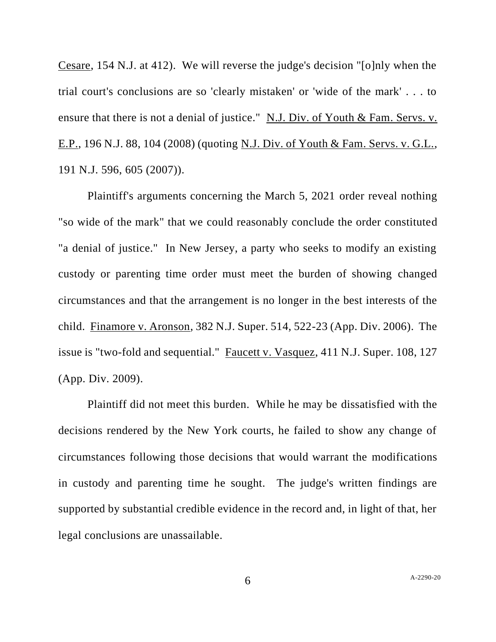Cesare, 154 N.J. at 412). We will reverse the judge's decision "[o]nly when the trial court's conclusions are so 'clearly mistaken' or 'wide of the mark' . . . to ensure that there is not a denial of justice." N.J. Div. of Youth & Fam. Servs. v. E.P., 196 N.J. 88, 104 (2008) (quoting N.J. Div. of Youth & Fam. Servs. v. G.L., 191 N.J. 596, 605 (2007)).

Plaintiff's arguments concerning the March 5, 2021 order reveal nothing "so wide of the mark" that we could reasonably conclude the order constituted "a denial of justice." In New Jersey, a party who seeks to modify an existing custody or parenting time order must meet the burden of showing changed circumstances and that the arrangement is no longer in the best interests of the child. Finamore v. Aronson, 382 N.J. Super. 514, 522-23 (App. Div. 2006). The issue is "two-fold and sequential." Faucett v. Vasquez, 411 N.J. Super. 108, 127 (App. Div. 2009).

Plaintiff did not meet this burden. While he may be dissatisfied with the decisions rendered by the New York courts, he failed to show any change of circumstances following those decisions that would warrant the modifications in custody and parenting time he sought. The judge's written findings are supported by substantial credible evidence in the record and, in light of that, her legal conclusions are unassailable.